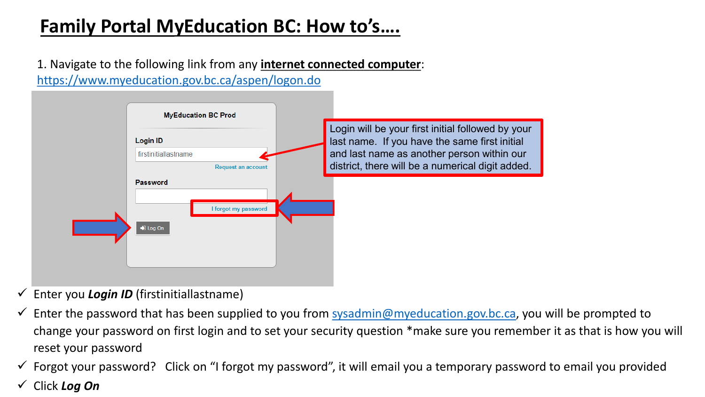# **Family Portal MyEducation BC: How to's….**

1. Navigate to the following link from any **internet connected computer**: [https://www.myeducation.gov.bc.ca/aspen/logon.do](https://myeducation.gov.bc.ca/aspen/logon.do) 



- Enter you *Login ID* (firstinitiallastname)
- Enter the password that has been supplied to you from [sysadmin@myeducation.gov.bc.ca,](mailto:sysadmin@myeducation.gov.bc.ca) you will be prompted to change your password on first login and to set your security question \*make sure you remember it as that is how you will reset your password
- $\checkmark$  Forgot your password? Click on "I forgot my password", it will email you a temporary password to email you provided
- Click *Log On*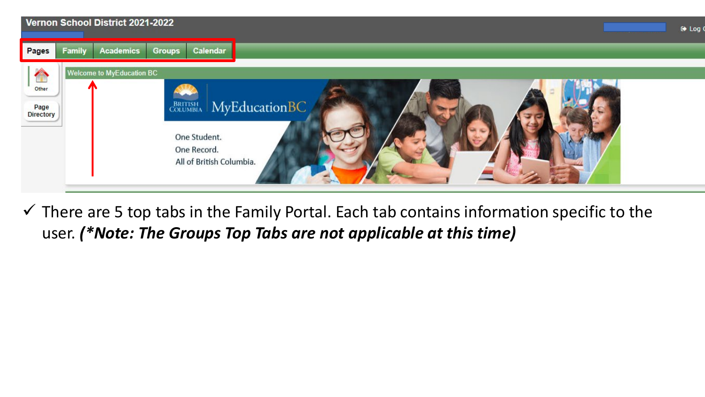

 $\checkmark$  There are 5 top tabs in the Family Portal. Each tab contains information specific to the user. *(\*Note: The Groups Top Tabs are not applicable at this time)*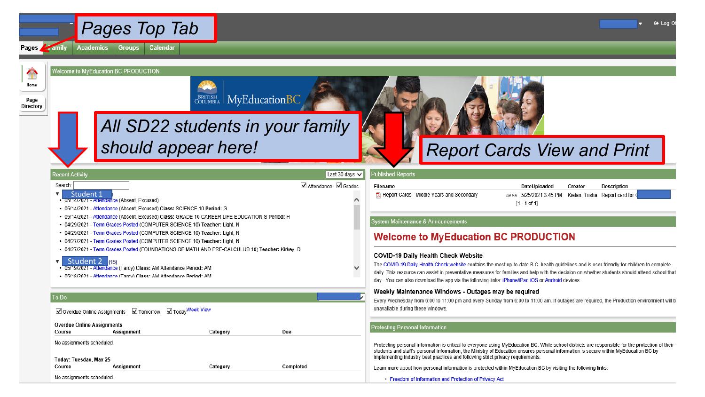

Welcome to MyEducation BC PRODUCTION



∕

Pages

**BRITISH MyEducationBC** 

All SD22 students in your family should appear here!

Category

Category

Due

Completed

## **Report Cards View and Print**

| Recent Activity |  |  |
|-----------------|--|--|
|                 |  |  |
|                 |  |  |

Student 1

• 05/14/2021 - Attendance (Absent, Excused)

#### Search:

▼

To Do

Course

#### Last 30 days V  $\nabla$  Attendance  $\nabla$  Grades

Filename Report Cards - Middle Years and Secondary

DateUploaded Creator  $[1 - 1$  of 1]

**Description** 59 KB 5/25/2021 3:45 PM Kielan, Trisha Report card for

#### **System Maintenance & Announcements**

Published Reports

### **Welcome to MyEducation BC PRODUCTION**

#### COVID-19 Daily Health Check Website

The COVID-19 Daily Health Check website contains the most up-to-date B.C. health guidelines and is user-friendly for children to complete daily. This resource can assist in preventative measures for families and help with the decision on whether students should attend school that day. You can also download the app via the following links: iPhone/iPad iOS or Android devices.

#### Weekly Maintenance Windows - Outages may be required

Every Wednesday from 6:00 to 11:00 pm and every Sunday from 6:00 to 11:00 am. If outages are required, the Production environment will b unavailable during these windows.

#### **Protecting Personal Information**

Protecting personal information is critical to everyone using MyEducation BC. While school districts are responsible for the protection of their students and staff's personal information, the Ministry of Education ensures personal information is secure within MyEducation BC by implementing industry best practices and following strict privacy requirements.

Learn more about how personal information is protected within MyEducation BC by visiting the following links:

• Freedom of Information and Protection of Privacy Act

Voverdue Online Assignments V Tomorrow V Today Week View

Assignment

. 05/19/2021 - Attendance (Tardy) Class: AM Attendance Period: AM

. 05/18/2021 - Attendance (Tardy) Class: AM Attendance Period: AM

• 05/14/2021 - Attendance (Absent, Excused) Class: SCIENCE 10 Period: G

• 04/29/2021 - Term Grades Posted (COMPUTER SCIENCE 10) Teacher: Light, N • 04/29/2021 - Term Grades Posted (COMPUTER SCIENCE 10) Teacher: Light, N

. 04/27/2021 - Term Grades Posted (COMPUTER SCIENCE 10) Teacher: Light, N

• 05/14/2021 - Attendance (Absent, Excused) Class: GRADE 10 CAREER LIFE EDUCATION S Period: H

. 04/27/2021 - Term Grades Posted (FOUNDATIONS OF MATH AND PRE-CALCULUS 10) Teacher: Kirkey, D

**Overdue Online Assignments** Assignment

Student 2 (15)

Course

No assignments scheduled

Today: Tuesday, May 25

No assignments scheduled.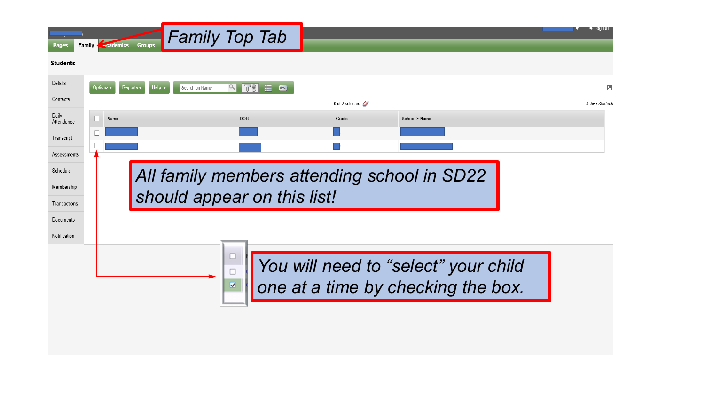| Pages               | <b>Family Cademics</b><br>Groups                                               | <b>Family Top Tab</b>                       |                               |                                                                            | u→ Log ∪π      |  |
|---------------------|--------------------------------------------------------------------------------|---------------------------------------------|-------------------------------|----------------------------------------------------------------------------|----------------|--|
| <b>Students</b>     |                                                                                |                                             |                               |                                                                            |                |  |
| Details             | Options $\blacktriangledown$<br>Reports $\blacktriangledown$<br>Search on Name | 10 <sup>o</sup><br>Ħ<br>$\alpha$<br>$a + z$ |                               |                                                                            | 因              |  |
| Contacts            |                                                                                |                                             | 0 of 2 selected $\mathscr{D}$ |                                                                            | Active Student |  |
| Daily<br>Attendance | Name                                                                           | <b>DOB</b>                                  | Grade                         | School > Name                                                              |                |  |
| Transcript          |                                                                                |                                             |                               |                                                                            |                |  |
| Assessments         |                                                                                |                                             |                               |                                                                            |                |  |
| Schedule            | All family members attending school in SD22                                    |                                             |                               |                                                                            |                |  |
| Membership          | should appear on this list!                                                    |                                             |                               |                                                                            |                |  |
| Transactions        |                                                                                |                                             |                               |                                                                            |                |  |
| Documents           |                                                                                |                                             |                               |                                                                            |                |  |
| Notification        |                                                                                |                                             |                               |                                                                            |                |  |
|                     |                                                                                | V                                           |                               | You will need to "select" your child<br>one at a time by checking the box. |                |  |